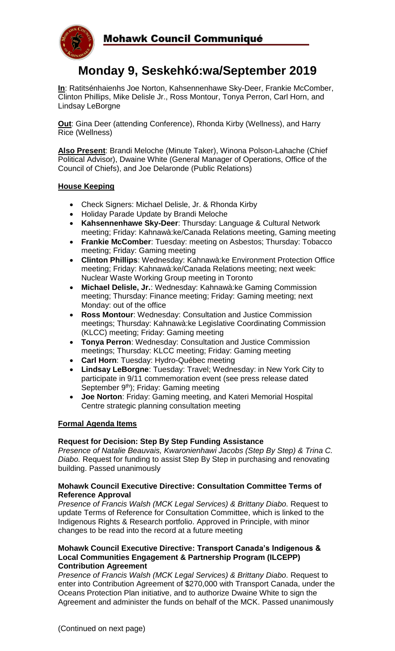

# **Monday 9, Seskehkó:wa/September 2019**

**In**: Ratitsénhaienhs Joe Norton, Kahsennenhawe Sky-Deer, Frankie McComber, Clinton Phillips, Mike Delisle Jr., Ross Montour, Tonya Perron, Carl Horn, and Lindsay LeBorgne

**Out**: Gina Deer (attending Conference), Rhonda Kirby (Wellness), and Harry Rice (Wellness)

**Also Present**: Brandi Meloche (Minute Taker), Winona Polson-Lahache (Chief Political Advisor), Dwaine White (General Manager of Operations, Office of the Council of Chiefs), and Joe Delaronde (Public Relations)

## **House Keeping**

- Check Signers: Michael Delisle, Jr. & Rhonda Kirby
- Holiday Parade Update by Brandi Meloche
- **Kahsennenhawe Sky-Deer**: Thursday: Language & Cultural Network meeting; Friday: Kahnawà:ke/Canada Relations meeting, Gaming meeting
- **Frankie McComber**: Tuesday: meeting on Asbestos; Thursday: Tobacco meeting; Friday: Gaming meeting
- **Clinton Phillips**: Wednesday: Kahnawà:ke Environment Protection Office meeting; Friday: Kahnawà:ke/Canada Relations meeting; next week: Nuclear Waste Working Group meeting in Toronto
- **Michael Delisle, Jr.**: Wednesday: Kahnawà:ke Gaming Commission meeting; Thursday: Finance meeting; Friday: Gaming meeting; next Monday: out of the office
- **Ross Montour**: Wednesday: Consultation and Justice Commission meetings; Thursday: Kahnawà:ke Legislative Coordinating Commission (KLCC) meeting; Friday: Gaming meeting
- **Tonya Perron**: Wednesday: Consultation and Justice Commission meetings; Thursday: KLCC meeting; Friday: Gaming meeting
- **Carl Horn**: Tuesday: Hydro-Québec meeting
- **Lindsay LeBorgne**: Tuesday: Travel; Wednesday: in New York City to participate in 9/11 commemoration event (see press release dated September 9<sup>th</sup>); Friday: Gaming meeting
- **Joe Norton**: Friday: Gaming meeting, and Kateri Memorial Hospital Centre strategic planning consultation meeting

## **Formal Agenda Items**

#### **Request for Decision: Step By Step Funding Assistance**

*Presence of Natalie Beauvais, Kwaronienhawi Jacobs (Step By Step) & Trina C. Diabo.* Request for funding to assist Step By Step in purchasing and renovating building. Passed unanimously

#### **Mohawk Council Executive Directive: Consultation Committee Terms of Reference Approval**

*Presence of Francis Walsh (MCK Legal Services) & Brittany Diabo. Request to* update Terms of Reference for Consultation Committee, which is linked to the Indigenous Rights & Research portfolio. Approved in Principle, with minor changes to be read into the record at a future meeting

#### **Mohawk Council Executive Directive: Transport Canada's Indigenous & Local Communities Engagement & Partnership Program (ILCEPP) Contribution Agreement**

*Presence of Francis Walsh (MCK Legal Services) & Brittany Diabo. Request to* enter into Contribution Agreement of \$270,000 with Transport Canada, under the Oceans Protection Plan initiative, and to authorize Dwaine White to sign the Agreement and administer the funds on behalf of the MCK. Passed unanimously